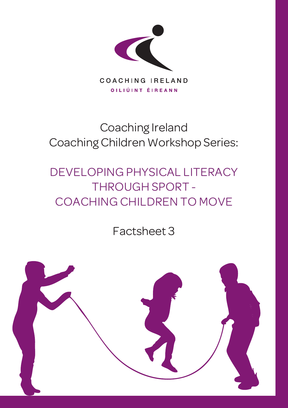

# Coaching Ireland Coaching Children Workshop Series:

# DEVELOPING PHYSICAL LITERACY THROUGH SPORT - COACHING CHILDREN TO MOVE

Factsheet 3

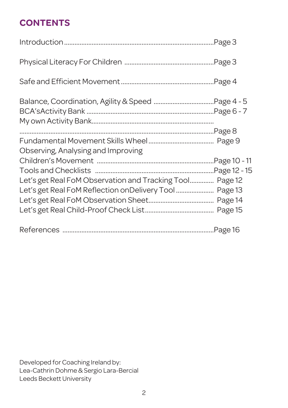## **CONTENTS**

| Observing, Analysing and Improving                       |  |
|----------------------------------------------------------|--|
|                                                          |  |
|                                                          |  |
| Let's get Real FoM Observation and Tracking Tool Page 12 |  |
|                                                          |  |
|                                                          |  |
|                                                          |  |
|                                                          |  |

Developed for Coaching Ireland by: Lea-Cathrin Dohme & Sergio Lara-Bercial Leeds Beckett University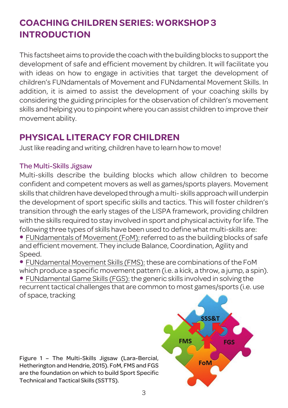## **COACHING CHILDREN SERIES: WORKSHOP 3 INTRODUCTION**

This factsheet aims to provide the coachwith the building blocks to supportthe development of safe and efficient movement by children. It will facilitate you with ideas on how to engage in activities that target the development of children's FUNdamentals of Movement and FUNdamental Movement Skills. In addition, it is aimed to assist the development of your coaching skills by considering the guiding principles for the observation of children's movement skills and helping you to pinpoint where you can assist children to improve their movement ability.

## **PHYSICAL LITERACY FOR CHILDREN**

Just like reading and writing, children have to learn how to move!

### The Multi-Skills Jigsaw

Multi-skills describe the building blocks which allow children to become confident and competent movers as well as games/sports players. Movement skills that children have developed through a multi- skills approachwill underpin the development of sport specific skills and tactics. This will foster children's transition through the early stages of the LISPA framework, providing children with the skills required to stay involved in sport and physical activity forlife. The following three types of skills have been used to define what multi-skills are: • FUNdamentals of Movement(FoM): referred to as the building blocks of safe and efficient movement. They include Balance, Coordination, Agility and Speed.

• FUNdamental Movement Skills (FMS): these are combinations of the FoM which produce a specific movement pattern (i.e. a kick, a throw, a jump, a spin). • FUNdamental Game Skills (FGS): the generic skills involved in solving the recurrent tactical challenges that are common to most games/sports (i.e. use of space, tracking

Figure 1 – The Multi-Skills Jigsaw (Lara-Bercial, Hetherington and Hendrie, 2015). FoM, FMS and FGS are the foundation on which to build Sport Specific Technical and Tactical Skills (SSTTS).

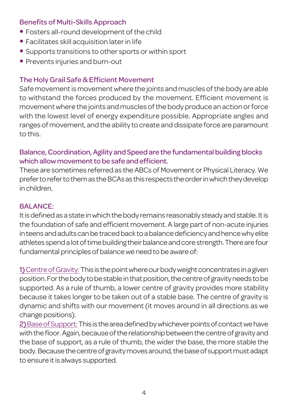### Benefits of Multi-Skills Approach

- Fosters all-round development of the child
- Facilitates skill acquisition later in life
- Supports transitions to other sports or within sport
- Prevents injuries and burn-out

## The Holy Grail Safe & Efficient Movement

Safe movement is movement where the joints and muscles of the body are able to withstand the forces produced by the movement. Efficient movement is movement where the joints and muscles of the body produce an action or force with the lowest level of energy expenditure possible. Appropriate angles and ranges of movement, and the ability to create and dissipate force are paramount to this.

### Balance, Coordination, Agility and Speed are the fundamental building blocks which allow movement to be safe and efficient.

These are sometimes referred as the ABCs of Movement or Physical Literacy. We prefer to refer to them as the BCAs as this respects the order in which they develop in children.

### **BALANCE:**

It is defined as a state in which the body remains reasonably steady and stable. It is the foundation of safe and efficient movement. A large part of non-acute injuries in teens and adults can be traced back to a balance deficiency and hence why elite athletes spend a lot of time building their balance and core strength. There are four fundamental principles of balance we need to be aware of:

1) Centre of Gravity: This is the point where our body weight concentrates in a given position.Forthebodytobestableinthatposition,thecentreofgravityneedstobe supported. As a rule of thumb, a lower centre of gravity provides more stability because it takes longer to be taken out of a stable base. The centre of gravity is dynamic and shifts with our movement (it moves around in all directions as we change positions).

2) Base of Support: This is the area defined by whichever points of contact we have with the floor. Again, because of the relationship between the centre of gravity and the base of support, as a rule of thumb, the wider the base, the more stable the body. Because the centre of gravity moves around, the base of support must adapt to ensure it is always supported.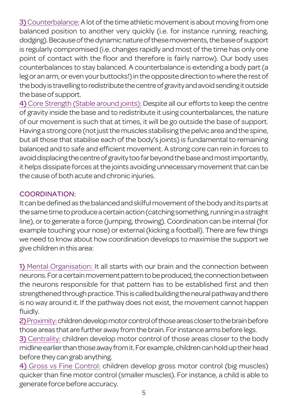3) Counterbalance: A lot of the time athletic movement is about moving from one balanced position to another very quickly (i.e. for instance running, reaching, dodging). Because of the dynamic nature of these movements, the base of support is regularly compromised (i.e. changes rapidly and most of the time has only one point of contact with the floor and therefore is fairly narrow). Our body uses counterbalances to stay balanced. A counterbalance is extending a body part (a leg or an arm, or even your buttocks!) in the opposite direction to where the rest of the body is travelling to redistribute the centre of gravity and avoid sending it outside the base of support.

4) Core Strength (Stable around joints): Despite all our efforts to keep the centre of gravity inside the base and to redistribute it using counterbalances, the nature of our movement is such that at times, it will be go outside the base of support. Having a strong core (not just the muscles stabilising the pelvic area and the spine, but all those that stabilise each of the body's joints) is fundamental to remaining balanced and to safe and efficient movement. A strong core can rein in forces to avoid displacing the centre of gravity too far beyond the base and most importantly, it helps dissipate forces at the joints avoiding unnecessary movement that can be the cause of both acute and chronic injuries.

### COORDINATION:

It can be defined as the balanced and skilful movement of the body and its parts at the same time to produce a certain action (catching something, running in a straight line), or to generate a force (jumping, throwing). Coordination can be internal (for example touching your nose) or external (kicking a football). There are few things we need to know about how coordination develops to maximise the support we give children in this area:

1) Mental Organisation: It all starts with our brain and the connection between neurons. For a certain movement pattern to be produced, the connection between the neurons responsible for that pattern has to be established first and then strengthened through practice. This is called building the neural pathway and there is no way around it. If the pathway does not exist, the movement cannot happen fluidly.

2) Proximity: children develop motor control of those areas closer to the brain before those areas that are further away from the brain. For instance arms before legs.

3) Centrality: children develop motor control of those areas closer to the body midline earlier than those away from it. For example, children can hold up their head before they can grab anything.

4) Gross vs Fine Control: children develop gross motor control (big muscles) quicker than fine motor control (smaller muscles). For instance, a child is able to generate force before accuracy.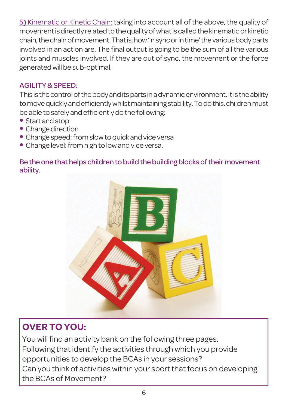5) Kinematic or Kinetic Chain: taking into account all of the above, the quality of movement is directly related to the quality of what is called the kinematic or kinetic chain,thechainofmovement.Thatis,how'insyncorintime'thevariousbodyparts involved in an action are. The final output is going to be the sum of all the various joints and muscles involved. If they are out of sync, the movement or the force generated will be sub-optimal.

### AGILITY&SPEED:

This is the control of the body and its parts in a dynamic environment. It is the ability to move quickly and efficiently whilst maintaining stability. To do this, children must be able to safely and efficiently do the following:

- Start and stop
- Change direction
- Change speed: from slow to quick and vice versa
- Change level: from high to low and vice versa.

Be the one that helps children to build the building blocks of their movement ability.



## **OVER TO YOU:**

You will find an activity bank on the following three pages. Following that identify the activities through which you provide opportunities to develop the BCAs in your sessions? Can you think of activities within your sport that focus on developing the BCAs of Movement?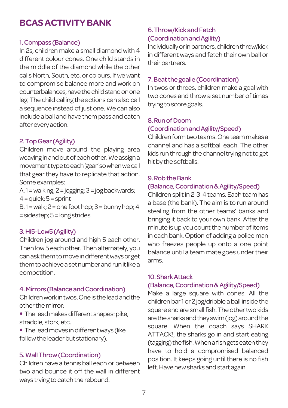### **BCASACTIVITYBANK**

#### 1.Compass (Balance)

In 2s, children make a small diamond with 4 different colour cones. One child stands in the middle of the diamond while the other calls North, South, etc. or colours. If we want to compromise balance more and work on counterbalances,havethechildstandonone leg. The child calling the actions can also call a sequence instead of just one. We can also include a ball and have them pass and catch after every action.

#### 2. Top Gear (Agility)

Children move around the playing area weavinginandoutofeachother.Weassigna movementtypetoeach'gear'sowhenwecall that gear they have to replicate that action. Some examples:

A.1=walking;2=jogging;3=jogbackwards;  $4 =$ quick;  $5 =$ sprint  $B.1$  = walk;  $2$  = one foot hop;  $3$  = bunny hop; 4 =sidestep;5=long strides

#### 3.Hi5-Low5(Agility)

Children jog around and high 5 each other. Then low 5 each other. Then alternately, you canaskthemtomoveindifferentwaysorget them to achieve a set number and run it like a competition.

#### 4. Mirrors (Balance and Coordination)

Childrenworkintwos.Oneistheleadandthe otherthemirror:

• The lead makes different shapes: pike, straddle, stork,etc.

• The lead moves in different ways (like follow the leader but stationary).

#### 5.WallThrow(Coordination)

Children have a tennis ball each or between two and bounce it off the wall in different ways trying to catch the rebound.

#### 6.Throw/KickandFetch (Coordination and Agility)

Individuallyorinpartners,childrenthrow/kick in different ways and fetch their own ball or their partners.

#### 7. Beat the goalie (Coordination)

In twos or threes, children make a goal with two cones and throw a set number of times trying to score goals.

#### 8.RunofDoom (CoordinationandAgility/Speed)

Childrenformtwoteams.Oneteammakesa channel and has a softball each. The other kids run through the channel trying not to get hit by the softballs.

#### 9. Rob the Bank

#### (Balance,Coordination&Agility/Speed)

Children split in 2-3-4 teams. Each team has a base (the bank). The aim is to run around stealing from the other teams' banks and bringing it back to your own bank. After the minute is up you count the number of items in each bank. Option of adding a police man who freezes people up onto a one point balance until a team mate goes under their arms.

#### 10.SharkAttack

#### (Balance,Coordination&Agility/Speed)

Make a large square with cones. All the children bar 1 or 2 jog/dribble a ball inside the square and are small fish. The other two kids arethesharksandtheyswim(jog)aroundthe square. When the coach says SHARK ATTACK!, the sharks go in and start eating (tagging) the fish. When a fish gets eaten they have to hold a compromised balanced position. It keeps going until there is no fish left. Have new sharks and start again.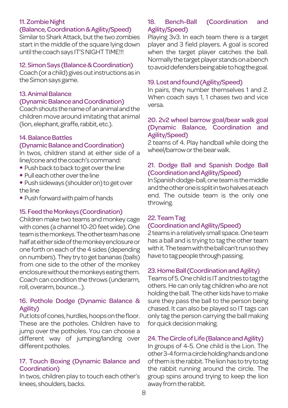#### 11. Zombie Night

#### (Balance,Coordination&Agility/Speed)

Similar to Shark Attack, but the two zombies start in the middle of the square lying down until the coach says IT'S NIGHT TIME!!!

#### 12. Simon Says (Balance & Coordination)

Coach (or a child) gives out instructions as in the Simon says game.

#### 13. Animal Balance

#### (DynamicBalanceandCoordination)

Coachshoutsthenameofananimalandthe children move around imitating that animal (lion, elephant, giraffe, rabbit, etc.).

#### 14. Balance Battles

#### (DynamicBalanceandCoordination)

In twos, children stand at either side of a line/cone and the coach's command:

- Push back to back to get over the line
- Pull each other over the line
- Push sideways (shoulder on) to get over theline
- Push forward with palm of hands

#### 15. Feed the Monkeys (Coordination)

Children make two teams and monkey cage with cones (a channel 10-20 feet wide). One teamisthemonkeys.Theotherteamhasone halfateithersideofthemonkeyenclosureor one forth on each of the 4 sides (depending on numbers). They try to get bananas (balls) from one side to the other of the monkey enclosure without the monkeys eating them. Coach can condition the throws (underarm, roll, overarm, bounce...).

#### 16. Pothole Dodge (Dynamic Balance & Agility)

Put lots of cones, hurdles, hoops on the floor. These are the potholes. Children have to jump over the potholes. You can choose a different way of jumping/landing over different potholes.

#### 17. Touch Boxing (Dynamic Balance and Coordination)

In twos, children play to touch each other's knees, shoulders, backs.

#### 18. Bench-Ball (Coordination and Agility/Speed)

Playing 3v3. In each team there is a target player and 3 field players. A goal is scored when the target player catches the ball. Normally the target player stands on a bench toavoiddefendersbeingabletohogthegoal.

#### 19.Lostandfound(Agility/Speed)

In pairs, they number themselves 1 and 2. When coach says 1, 1 chases two and vice versa.

#### 20. 2v2 wheel barrow goal/bear walk goal (Dynamic Balance, Coordination and Agility/Speed)

2 teams of 4. Play handball while doing the wheel/barrow or the bear walk.

#### 21. Dodge Ball and Spanish Dodge Ball (CoordinationandAgility/Speed)

InSpanishdodge-ball,oneteamisthemiddle and the other one is split in two halves at each end. The outside team is the only one throwing.

#### 22.TeamTag

#### (Coordination and Agility/Speed)

2 teams in a relatively small space. One team has a ball and is trying to tag the other team with it. The team with the ball can't run so they have to tag people through passing.

#### 23. Home Ball (Coordination and Agility)

Teamsof5.OnechildisITandtriestotagthe others. He can only tag children who are not holding the ball. The other kids have to make sure they pass the ball to the person being chased. It can also be played so IT tags can only tag the person carrying the ball making for quick decision making.

#### 24. The Circle of Life (Balance and Agility)

In groups of 4-5. One child is the Lion. The other3-4formacircleholdinghandsandone of them is the rabbit. The lion has to try to tag the rabbit running around the circle. The group spins around trying to keep the lion away from the rabbit.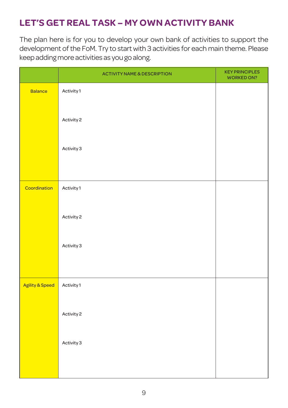## **LET'S GET REAL TASK – MY OWN ACTIVITY BANK**

The plan here is for you to develop your own bank of activities to support the development of the FoM. Try to start with 3 activities for each main theme. Please keep adding more activities as you go along.

|                 | <b>ACTIVITY NAME &amp; DESCRIPTION</b> | <b>KEY PRINCIPLES</b><br><b>WORKED ON?</b> |
|-----------------|----------------------------------------|--------------------------------------------|
| <b>Balance</b>  | Activity 1                             |                                            |
|                 | Activity 2                             |                                            |
|                 | Activity 3                             |                                            |
|                 |                                        |                                            |
| Coordination    | Activity 1                             |                                            |
|                 | Activity 2                             |                                            |
|                 | Activity 3                             |                                            |
|                 |                                        |                                            |
| Agility & Speed | Activity 1                             |                                            |
|                 | Activity 2                             |                                            |
|                 | Activity 3                             |                                            |
|                 |                                        |                                            |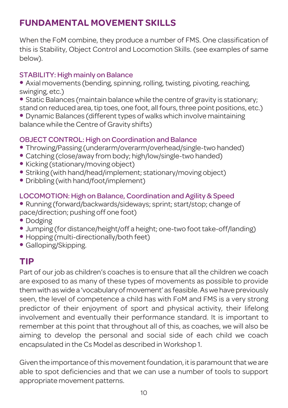## **FUNDAMENTAL MOVEMENT SKILLS**

When the FoM combine, they produce a number of FMS. One classification of this is Stability, Object Control and Locomotion Skills. (see examples of same below).

### STABILITY: High mainly on Balance

• Axial movements (bending, spinning, rolling, twisting, pivoting, reaching, swinging, etc.)

• Static Balances (maintain balance while the centre of gravity is stationary; stand on reduced area, tip toes, one foot, all fours, three point positions, etc.)

• Dynamic Balances (different types of walks which involve maintaining balance while the Centre of Gravity shifts)

### OBJECT CONTROL: High on Coordination and Balance

- Throwing/Passing (underarm/overarm/overhead/single-two handed)
- Catching (close/away from body; high/low/single-two handed)
- Kicking (stationary/moving object)
- Striking (with hand/head/implement; stationary/moving object)
- Dribbling (with hand/foot/implement)

### LOCOMOTION:High on Balance, Coordination and Agility & Speed

- Running (forward/backwards/sideways; sprint; start/stop; change of pace/direction; pushing off one foot)
- Dodging
- Jumping (for distance/height/off a height; one-two foot take-off/landing)
- Hopping (multi-directionally/both feet)
- Galloping/Skipping.

### **TIP**

Part of our job as children's coaches is to ensure that all the children we coach are exposed to as many of these types of movements as possible to provide them with as wide a 'vocabulary of movement' as feasible. As we have previously seen, the level of competence a child has with FoM and FMS is a very strong predictor of their enjoyment of sport and physical activity, their lifelong involvement and eventually their performance standard. It is important to remember at this point that throughout all of this, as coaches, we will also be aiming to develop the personal and social side of each child we coach encapsulated in the Cs Model as described in Workshop 1.

Given the importance of this movement foundation, it is paramount that we are able to spot deficiencies and that we can use a number of tools to support appropriate movement patterns.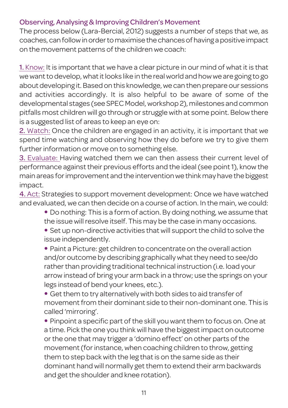### Observing, Analysing & Improving Children's Movement

The process below (Lara-Bercial, 2012) suggests a number of steps that we, as coaches, can followinordertomaximise the chancesof having apositive impact on the movement patterns of the children we coach:

1. Know: It is important that we have a clear picture in our mind of what it is that we want to develop, what it looks like in the real world and how we are going to go about developing it. Based on this knowledge, we can then prepare our sessions and activities accordingly. It is also helpful to be aware of some of the developmental stages (see SPECModel,workshop 2), milestones and common pitfalls most children will go through or struggle with at some point. Below there is a suggested list of areas to keep an eye on:

2. Watch: Once the children are engaged in an activity, it is important that we spend time watching and observing how they do before we try to give them further information or move on to something else.

3. Evaluate: Having watched them we can then assess their current level of performance against their previous efforts and the ideal (see point 1), know the main areas forimprovement and the interventionwe think may have the biggest impact.

4. Act: Strategies to support movement development: Once we have watched and evaluated, we can then decide on a course of action. In the main, we could:

- Do nothing: This is a form of action. By doing nothing, we assume that the issue will resolve itself. This may be the case in many occasions.
- Set up non-directive activities that will support the child to solve the issue independently.

• Paint a Picture: get children to concentrate on the overall action and/or outcome by describing graphically what they need to see/do rather than providing traditional technical instruction (i.e. load your arrow instead of bring your arm back in a throw; use the springs on your legs instead of bend your knees, etc.).

• Get them to try alternatively with both sides to aid transfer of movement from their dominant side to their non-dominant one. This is called 'mirroring'.

• Pinpoint a specific part of the skill you want them to focus on. One at a time. Pick the one you think will have the biggestimpact on outcome or the one that may trigger a 'domino effect' on other parts of the movement (for instance, when coaching children to throw, getting them to step back with the leg that is on the same side as their dominant hand will normally get them to extend their arm backwards and get the shoulder and knee rotation).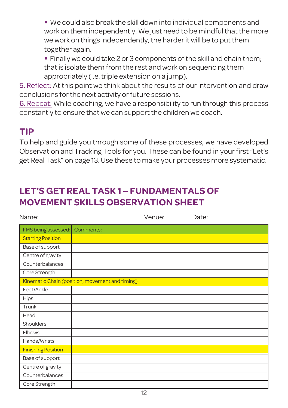• We could also break the skill down into individual components and work on them independently. We just need to be mindful that the more we work on things independently, the harder it will be to put them together again.

• Finally we could take 2 or 3 components of the skill and chain them; that is isolate them from the rest and work on sequencing them appropriately (i.e.triple extension on a jump).

5. Reflect: At this point we think about the results of our intervention and draw conclusions forthe next activity or future sessions.

6. Repeat: While coaching, we have a responsibility to run through this process constantly to ensure that we can support the children we coach.

## **TIP**

To help and guide you through some of these processes, we have developed Observation and Tracking Tools for you. These can be found in your first "Let's get Real Task" on page 13. Use these to make your processes more systematic.

## **LET'S GET REAL TASK 1 – FUNDAMENTALS OF MOVEMENT SKILLS OBSERVATION SHEET**

| Name:                     |                                                 | Venue: | Date: |
|---------------------------|-------------------------------------------------|--------|-------|
| FMS being assessed:       | Comments:                                       |        |       |
| <b>Starting Position</b>  |                                                 |        |       |
| Base of support           |                                                 |        |       |
| Centre of gravity         |                                                 |        |       |
| Counterbalances           |                                                 |        |       |
| Core Strength             |                                                 |        |       |
|                           | Kinematic Chain (position, movement and timing) |        |       |
| Feet/Ankle                |                                                 |        |       |
| <b>Hips</b>               |                                                 |        |       |
| Trunk                     |                                                 |        |       |
| Head                      |                                                 |        |       |
| Shoulders                 |                                                 |        |       |
| Elbows                    |                                                 |        |       |
| Hands/Wrists              |                                                 |        |       |
| <b>Finishing Position</b> |                                                 |        |       |
| Base of support           |                                                 |        |       |
| Centre of gravity         |                                                 |        |       |
| Counterbalances           |                                                 |        |       |
| Core Strength             |                                                 |        |       |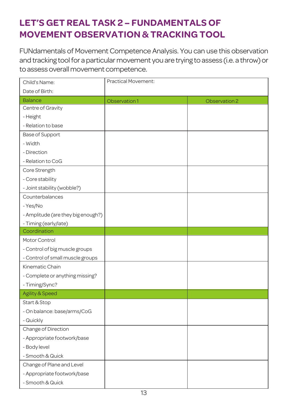## **LET'S GET REAL TASK 2 – FUNDAMENTALS OF MOVEMENT OBSERVATION & TRACKING TOOL**

FUNdamentals of Movement Competence Analysis. You can use this observation and tracking tool for a particular movement you are trying to assess (i.e. a throw) or to assess overall movement competence.

| Child's Name:                      | Practical Movement: |               |
|------------------------------------|---------------------|---------------|
| Date of Birth:                     |                     |               |
| <b>Balance</b>                     | Observation 1       | Observation 2 |
| Centre of Gravity                  |                     |               |
| - Height                           |                     |               |
| - Relation to base                 |                     |               |
| Base of Support                    |                     |               |
| - Width                            |                     |               |
| - Direction                        |                     |               |
| - Relation to CoG                  |                     |               |
| Core Strength                      |                     |               |
| - Core stability                   |                     |               |
| - Joint stability (wobble?)        |                     |               |
| Counterbalances                    |                     |               |
| - Yes/No                           |                     |               |
| - Amplitude (are they big enough?) |                     |               |
| - Timing (early/late)              |                     |               |
| Coordination                       |                     |               |
| Motor Control                      |                     |               |
| - Control of big muscle groups     |                     |               |
| - Control of small muscle groups   |                     |               |
| Kinematic Chain                    |                     |               |
| - Complete or anything missing?    |                     |               |
| - Timing/Sync?                     |                     |               |
| Agility & Speed                    |                     |               |
| Start & Stop                       |                     |               |
| - On balance: base/arms/CoG        |                     |               |
| - Quickly                          |                     |               |
| Change of Direction                |                     |               |
| - Appropriate footwork/base        |                     |               |
| - Body level                       |                     |               |
| - Smooth & Quick                   |                     |               |
| Change of Plane and Level          |                     |               |
| - Appropriate footwork/base        |                     |               |
| - Smooth & Quick                   |                     |               |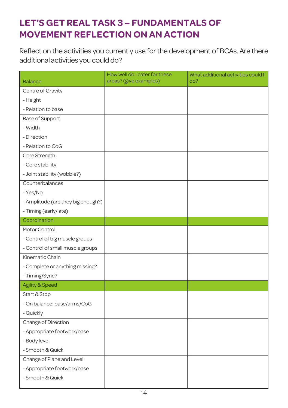## **LET'S GET REAL TASK 3 – FUNDAMENTALS OF MOVEMENT REFLECTION ON AN ACTION**

Reflect on the activities you currently use for the development of BCAs. Are there additional activities you could do?

| <b>Balance</b>                     | How well do I cater for these<br>areas? (give examples) | What additional activities could I<br>do? |
|------------------------------------|---------------------------------------------------------|-------------------------------------------|
| Centre of Gravity                  |                                                         |                                           |
| - Height                           |                                                         |                                           |
| - Relation to base                 |                                                         |                                           |
| Base of Support                    |                                                         |                                           |
| - Width                            |                                                         |                                           |
| - Direction                        |                                                         |                                           |
| - Relation to CoG                  |                                                         |                                           |
| Core Strength                      |                                                         |                                           |
| - Core stability                   |                                                         |                                           |
| - Joint stability (wobble?)        |                                                         |                                           |
| Counterbalances                    |                                                         |                                           |
| - Yes/No                           |                                                         |                                           |
| - Amplitude (are they big enough?) |                                                         |                                           |
| - Timing (early/late)              |                                                         |                                           |
| Coordination                       |                                                         |                                           |
| Motor Control                      |                                                         |                                           |
| - Control of big muscle groups     |                                                         |                                           |
| - Control of small muscle groups   |                                                         |                                           |
| Kinematic Chain                    |                                                         |                                           |
| - Complete or anything missing?    |                                                         |                                           |
| - Timing/Sync?                     |                                                         |                                           |
| Agility & Speed                    |                                                         |                                           |
| Start & Stop                       |                                                         |                                           |
| - On balance: base/arms/CoG        |                                                         |                                           |
| - Quickly                          |                                                         |                                           |
| Change of Direction                |                                                         |                                           |
| - Appropriate footwork/base        |                                                         |                                           |
| - Body level                       |                                                         |                                           |
| - Smooth & Quick                   |                                                         |                                           |
| Change of Plane and Level          |                                                         |                                           |
| - Appropriate footwork/base        |                                                         |                                           |
| - Smooth & Quick                   |                                                         |                                           |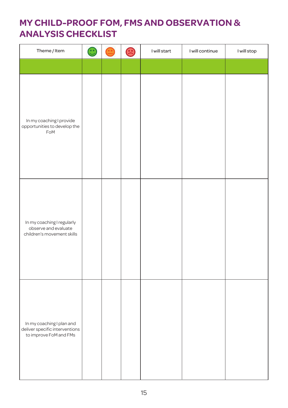## **MY CHILD-PROOF FOM, FMS AND OBSERVATION & ANALYSIS CHECKLIST**

| Theme / Item                                                                          | $\mathbf{\large \oplus}$ | <u>ි</u> | I will start | I will continue | I will stop |
|---------------------------------------------------------------------------------------|--------------------------|----------|--------------|-----------------|-------------|
|                                                                                       |                          |          |              |                 |             |
| In my coaching I provide<br>opportunities to develop the<br>FoM                       |                          |          |              |                 |             |
| In my coaching I regularly<br>observe and evaluate<br>children's movement skills      |                          |          |              |                 |             |
| In my coaching I plan and<br>deliver specific interventions<br>to improve FoM and FMs |                          |          |              |                 |             |